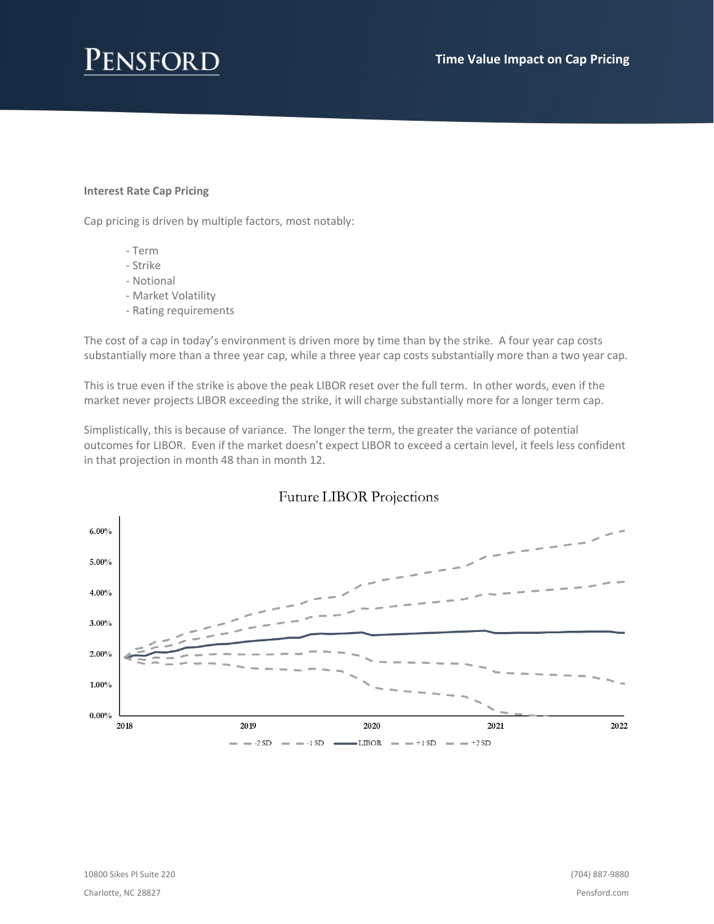#### **Interest Rate Cap Pricing**

Cap pricing is driven by multiple factors, most notably:

- Term
- Strike
- Notional
- Market Volatility
- Rating requirements

The cost of a cap in today's environment is driven more by time than by the strike. A four year cap costs substantially more than a three year cap, while a three year cap costs substantially more than a two year cap.

This is true even if the strike is above the peak LIBOR reset over the full term. In other words, even if the market never projects LIBOR exceeding the strike, it will charge substantially more for a longer term cap.

Simplistically, this is because of variance. The longer the term, the greater the variance of potential outcomes for LIBOR. Even if the market doesn't expect LIBOR to exceed a certain level, it feels less confident in that projection in month 48 than in month 12.



### **Future LIBOR Projections**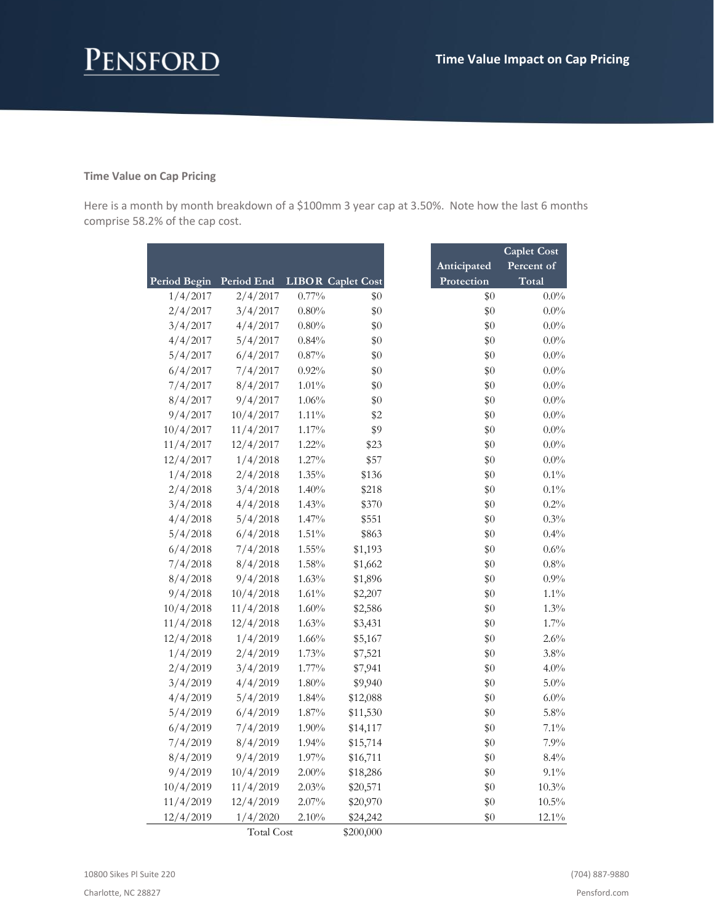# Pensford

#### **Time Value on Cap Pricing**

Here is a month by month breakdown of a \$100mm 3 year cap at 3.50%. Note how the last 6 months comprise 58.2% of the cap cost.

|              |            |          |                          |             | <b>Caplet Cost</b> |
|--------------|------------|----------|--------------------------|-------------|--------------------|
|              |            |          |                          | Anticipated | Percent of         |
| Period Begin | Period End |          | <b>LIBOR Caplet Cost</b> | Protection  | Total              |
| 1/4/2017     | 2/4/2017   | $0.77\%$ | \$0                      | $\$0$       | $0.0\%$            |
| 2/4/2017     | 3/4/2017   | $0.80\%$ | \$0                      | \$0         | $0.0\%$            |
| 3/4/2017     | 4/4/2017   | 0.80%    | \$0                      | \$0         | $0.0\%$            |
| 4/4/2017     | 5/4/2017   | 0.84%    | \$0                      | \$0         | $0.0\%$            |
| 5/4/2017     | 6/4/2017   | $0.87\%$ | \$0                      | \$0         | $0.0\%$            |
| 6/4/2017     | 7/4/2017   | 0.92%    | \$0                      | \$0         | $0.0\%$            |
| 7/4/2017     | 8/4/2017   | $1.01\%$ | \$0                      | \$0         | $0.0\%$            |
| 8/4/2017     | 9/4/2017   | 1.06%    | \$0                      | \$0         | $0.0\%$            |
| 9/4/2017     | 10/4/2017  | $1.11\%$ | \$2                      | \$0         | $0.0\%$            |
| 10/4/2017    | 11/4/2017  | $1.17\%$ | \$9                      | \$0         | $0.0\%$            |
| 11/4/2017    | 12/4/2017  | 1.22%    | \$23                     | \$0         | $0.0\%$            |
| 12/4/2017    | 1/4/2018   | $1.27\%$ | \$57                     | \$0         | $0.0\%$            |
| 1/4/2018     | 2/4/2018   | $1.35\%$ | \$136                    | \$0         | $0.1\%$            |
| 2/4/2018     | 3/4/2018   | 1.40%    | \$218                    | \$0         | $0.1\%$            |
| 3/4/2018     | 4/4/2018   | 1.43%    | \$370                    | \$0         | 0.2%               |
| 4/4/2018     | 5/4/2018   | $1.47\%$ | \$551                    | \$0         | $0.3\%$            |
| 5/4/2018     | 6/4/2018   | $1.51\%$ | \$863                    | \$0         | 0.4%               |
| 6/4/2018     | 7/4/2018   | $1.55\%$ | \$1,193                  | \$0         | $0.6\%$            |
| 7/4/2018     | 8/4/2018   | 1.58%    | \$1,662                  | \$0         | $0.8\%$            |
| 8/4/2018     | 9/4/2018   | 1.63%    | \$1,896                  | \$0         | $0.9\%$            |
| 9/4/2018     | 10/4/2018  | 1.61%    | \$2,207                  | \$0         | $1.1\%$            |
| 10/4/2018    | 11/4/2018  | 1.60%    | \$2,586                  | \$0         | 1.3%               |
| 11/4/2018    | 12/4/2018  | 1.63%    | \$3,431                  | \$0         | $1.7\%$            |
| 12/4/2018    | 1/4/2019   | 1.66%    | \$5,167                  | \$0         | 2.6%               |
| 1/4/2019     | 2/4/2019   | 1.73%    | \$7,521                  | \$0         | $3.8\%$            |
| 2/4/2019     | 3/4/2019   | 1.77%    | \$7,941                  | \$0         | $4.0\%$            |
| 3/4/2019     | 4/4/2019   | 1.80%    | \$9,940                  | \$0         | $5.0\%$            |
| 4/4/2019     | 5/4/2019   | 1.84%    | \$12,088                 | \$0         | $6.0\%$            |
| 5/4/2019     | 6/4/2019   | 1.87%    | \$11,530                 | \$0         | 5.8%               |
| 6/4/2019     | 7/4/2019   | $1.90\%$ | \$14,117                 | \$0         | $7.1\%$            |
| 7/4/2019     | 8/4/2019   | 1.94%    | \$15,714                 | \$0         | 7.9%               |
| 8/4/2019     | 9/4/2019   | 1.97%    | \$16,711                 | \$0         | 8.4%               |
| 9/4/2019     | 10/4/2019  | $2.00\%$ | \$18,286                 | \$0         | $9.1\%$            |
| 10/4/2019    | 11/4/2019  | 2.03%    | \$20,571                 | \$0         | $10.3\%$           |
| 11/4/2019    | 12/4/2019  | $2.07\%$ | \$20,970                 | \$0         | $10.5\%$           |
| 12/4/2019    | 1/4/2020   | 2.10%    | \$24,242                 | \$0         | $12.1\%$           |

Total Cost \$200,000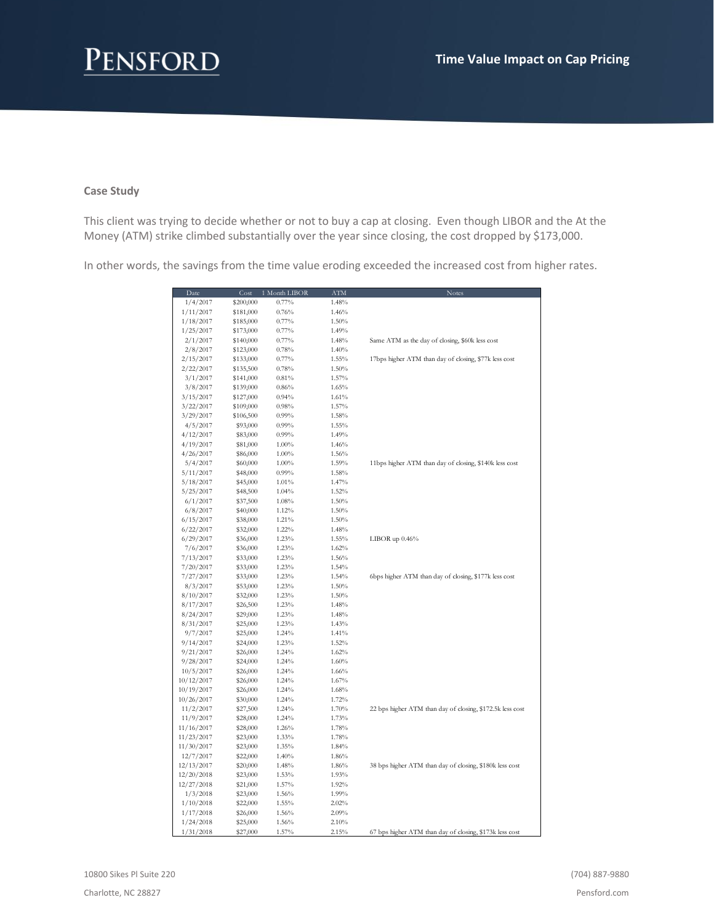#### **Case Study**

This client was trying to decide whether or not to buy a cap at closing. Even though LIBOR and the At the Money (ATM) strike climbed substantially over the year since closing, the cost dropped by \$173,000.

In other words, the savings from the time value eroding exceeded the increased cost from higher rates.

| Date       | Cost      | 1 Month LIBOR | ATM      | Notes                                                     |
|------------|-----------|---------------|----------|-----------------------------------------------------------|
| 1/4/2017   | \$200,000 | 0.77%         | 1.48%    |                                                           |
| 1/11/2017  | \$181,000 | 0.76%         | 1.46%    |                                                           |
| 1/18/2017  | \$185,000 | $0.77\%$      | 1.50%    |                                                           |
| 1/25/2017  | \$173,000 | $0.77\%$      | 1.49%    |                                                           |
| 2/1/2017   | \$140,000 | $0.77\%$      | 1.48%    | Same ATM as the day of closing, \$60k less cost           |
| 2/8/2017   | \$123,000 | 0.78%         | 1.40%    |                                                           |
| 2/15/2017  | \$133,000 | 0.77%         | 1.55%    | 17bps higher ATM than day of closing, \$77k less cost     |
| 2/22/2017  | \$135,500 | 0.78%         | 1.50%    |                                                           |
| 3/1/2017   | \$141,000 | 0.81%         | 1.57%    |                                                           |
| 3/8/2017   | \$139,000 | $0.86\%$      | 1.65%    |                                                           |
| 3/15/2017  | \$127,000 | 0.94%         | 1.61%    |                                                           |
| 3/22/2017  | \$109,000 | 0.98%         | 1.57%    |                                                           |
| 3/29/2017  | \$106,500 | $0.99\%$      | 1.58%    |                                                           |
| 4/5/2017   | \$93,000  | $0.99\%$      | 1.55%    |                                                           |
|            |           |               |          |                                                           |
| 4/12/2017  | \$83,000  | $0.99\%$      | 1.49%    |                                                           |
| 4/19/2017  | \$81,000  | 1.00%         | 1.46%    |                                                           |
| 4/26/2017  | \$86,000  | 1.00%         | 1.56%    |                                                           |
| 5/4/2017   | \$60,000  | 1.00%         | 1.59%    | 11bps higher ATM than day of closing, \$140k less cost    |
| 5/11/2017  | \$48,000  | $0.99\%$      | 1.58%    |                                                           |
| 5/18/2017  | \$45,000  | 1.01%         | 1.47%    |                                                           |
| 5/25/2017  | \$48,500  | 1.04%         | 1.52%    |                                                           |
| 6/1/2017   | \$37,500  | 1.08%         | 1.50%    |                                                           |
| 6/8/2017   | \$40,000  | 1.12%         | 1.50%    |                                                           |
| 6/15/2017  | \$38,000  | 1.21%         | 1.50%    |                                                           |
| 6/22/2017  | \$32,000  | 1.22%         | 1.48%    |                                                           |
| 6/29/2017  | \$36,000  | 1.23%         | 1.55%    | LIBOR up $0.46\%$                                         |
| 7/6/2017   | \$36,000  | 1.23%         | $1.62\%$ |                                                           |
| 7/13/2017  | \$33,000  | 1.23%         | 1.56%    |                                                           |
| 7/20/2017  | \$33,000  | 1.23%         | 1.54%    |                                                           |
| 7/27/2017  | \$33,000  | 1.23%         | 1.54%    | 6bps higher ATM than day of closing, \$177k less cost     |
| 8/3/2017   | \$53,000  | 1.23%         | 1.50%    |                                                           |
| 8/10/2017  | \$32,000  | 1.23%         | 1.50%    |                                                           |
| 8/17/2017  | \$26,500  | 1.23%         | 1.48%    |                                                           |
| 8/24/2017  | \$29,000  | 1.23%         | 1.48%    |                                                           |
| 8/31/2017  | \$25,000  | 1.23%         | 1.43%    |                                                           |
| 9/7/2017   | \$25,000  | 1.24%         | 1.41%    |                                                           |
| 9/14/2017  | \$24,000  | 1.23%         | 1.52%    |                                                           |
| 9/21/2017  | \$26,000  | 1.24%         | 1.62%    |                                                           |
| 9/28/2017  | \$24,000  | 1.24%         | $1.60\%$ |                                                           |
| 10/5/2017  | \$26,000  | 1.24%         | $1.66\%$ |                                                           |
| 10/12/2017 | \$26,000  | 1.24%         | 1.67%    |                                                           |
| 10/19/2017 | \$26,000  | 1.24%         | 1.68%    |                                                           |
| 10/26/2017 | \$30,000  | 1.24%         | 1.72%    |                                                           |
| 11/2/2017  | \$27,500  | 1.24%         | 1.70%    | 22 bps higher ATM than day of closing, \$172.5k less cost |
| 11/9/2017  | \$28,000  | 1.24%         | 1.73%    |                                                           |
| 11/16/2017 | \$28,000  | 1.26%         | 1.78%    |                                                           |
| 11/23/2017 | \$23,000  | 1.33%         | 1.78%    |                                                           |
| 11/30/2017 | \$23,000  | 1.35%         | 1.84%    |                                                           |
| 12/7/2017  | \$22,000  | 1.40%         | 1.86%    |                                                           |
| 12/13/2017 | \$20,000  | 1.48%         | 1.86%    | 38 bps higher ATM than day of closing, \$180k less cost   |
| 12/20/2018 | \$23,000  | 1.53%         | 1.93%    |                                                           |
| 12/27/2018 |           | 1.57%         | 1.92%    |                                                           |
|            | \$21,000  |               |          |                                                           |
| 1/3/2018   | \$23,000  | 1.56%         | 1.99%    |                                                           |
| 1/10/2018  | \$22,000  | 1.55%         | 2.02%    |                                                           |
| 1/17/2018  | \$26,000  | 1.56%         | 2.09%    |                                                           |
| 1/24/2018  | \$25,000  | 1.56%         | 2.10%    |                                                           |
| 1/31/2018  | \$27,000  | 1.57%         | 2.15%    | 67 bps higher ATM than day of closing, \$173k less cost   |